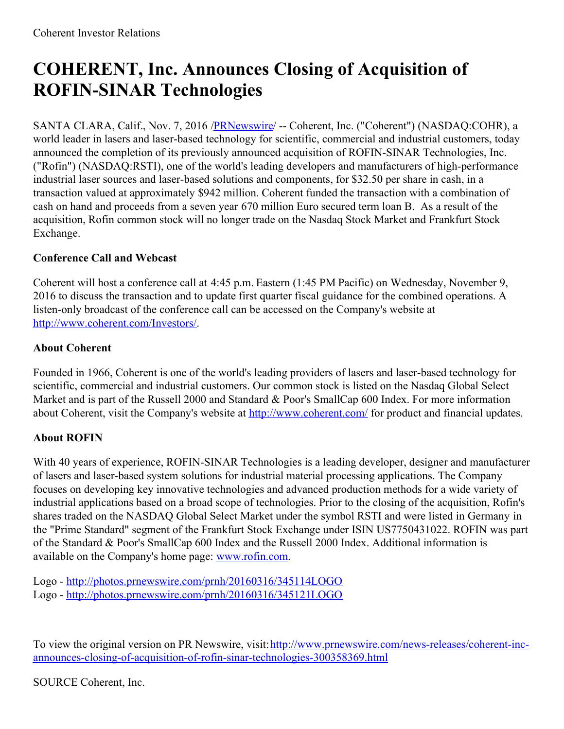## **COHERENT, Inc. Announces Closing of Acquisition of ROFIN-SINAR Technologies**

SANTA CLARA, Calif., Nov. 7, 2016 /**PRNewswire** -- Coherent, Inc. ("Coherent") (NASDAQ:COHR), a world leader in lasers and laser-based technology for scientific, commercial and industrial customers, today announced the completion of its previously announced acquisition of ROFIN-SINAR Technologies, Inc. ("Rofin") (NASDAQ:RSTI), one of the world's leading developers and manufacturers of high-performance industrial laser sources and laser-based solutions and components, for \$32.50 per share in cash, in a transaction valued at approximately \$942 million. Coherent funded the transaction with a combination of cash on hand and proceeds from a seven year 670 million Euro secured term loan B. As a result of the acquisition, Rofin common stock will no longer trade on the Nasdaq Stock Market and Frankfurt Stock Exchange.

## **Conference Call and Webcast**

Coherent will host a conference call at 4:45 p.m. Eastern (1:45 PM Pacific) on Wednesday, November 9, 2016 to discuss the transaction and to update first quarter fiscal guidance for the combined operations. A listen-only broadcast of the conference call can be accessed on the Company's website at <http://www.coherent.com/Investors/>.

## **About Coherent**

Founded in 1966, Coherent is one of the world's leading providers of lasers and laser-based technology for scientific, commercial and industrial customers. Our common stock is listed on the Nasdaq Global Select Market and is part of the Russell 2000 and Standard & Poor's SmallCap 600 Index. For more information about Coherent, visit the Company's website at <http://www.coherent.com/> for product and financial updates.

## **About ROFIN**

With 40 years of experience, ROFIN-SINAR Technologies is a leading developer, designer and manufacturer of lasers and laser-based system solutions for industrial material processing applications. The Company focuses on developing key innovative technologies and advanced production methods for a wide variety of industrial applications based on a broad scope of technologies. Prior to the closing of the acquisition, Rofin's shares traded on the NASDAQ Global Select Market under the symbol RSTI and were listed in Germany in the "Prime Standard" segment of the Frankfurt Stock Exchange under ISIN US7750431022. ROFIN was part of the Standard & Poor's SmallCap 600 Index and the Russell 2000 Index. Additional information is available on the Company's home page: [www.rofin.com](http://www.rofin.com/).

Logo - <http://photos.prnewswire.com/prnh/20160316/345114LOGO> Logo - <http://photos.prnewswire.com/prnh/20160316/345121LOGO>

To view the original version on PR Newswire, visit:http://www.prnewswire.com/news-releases/coherent-inc[announces-closing-of-acquisition-of-rofin-sinar-technologies-300358369.html](http://www.prnewswire.com/news-releases/coherent-inc-announces-closing-of-acquisition-of-rofin-sinar-technologies-300358369.html)

SOURCE Coherent, Inc.